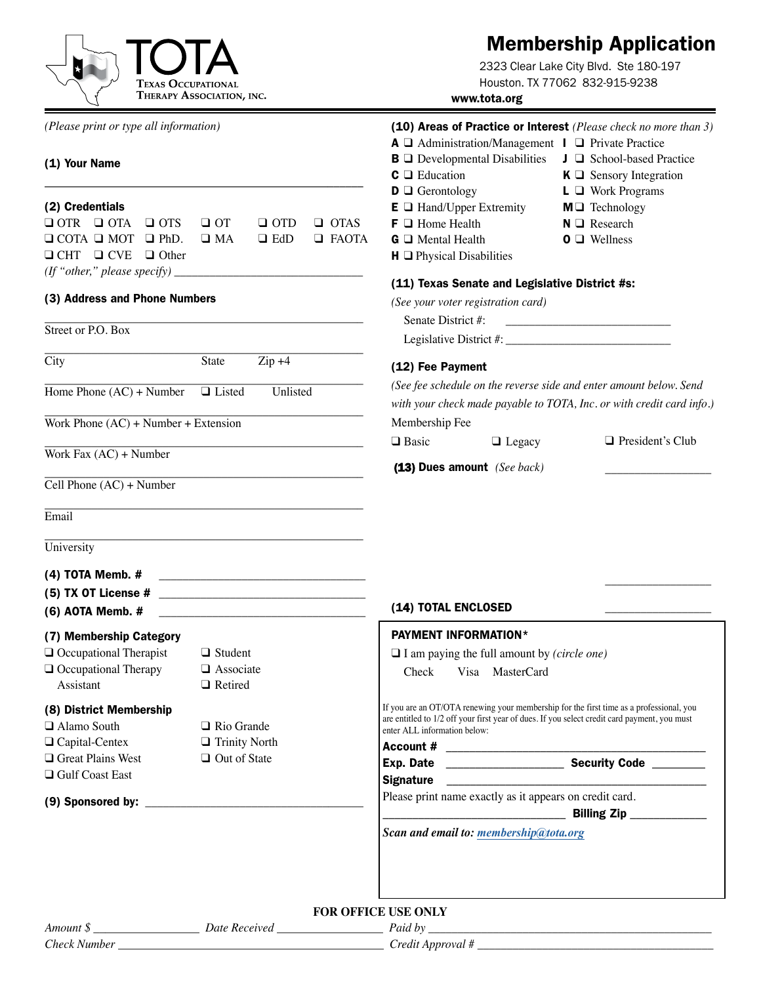

## Membership Application

2323 Clear Lake City Blvd. Ste 180-197 Houston. TX 77062 832-915-9238

www.tota.org

#### *(Please print or type all information)* (10) Areas of Practice or Interest *(Please check no more than 3)*  $A \square$  Administration/Management  $I \square$  Private Practice  $\mathbf{B} \sqcup \mathbf{D}$  Developmental Disabilities  $\sqcup \sqcup \mathbf{S}$ chool-based Practice (1) Your Name **C**  $\Box$  Education **K**  $\Box$  Sensory Integration \_\_\_\_\_\_\_\_\_\_\_\_\_\_\_\_\_\_\_\_\_\_\_\_\_\_\_\_\_\_\_\_\_\_\_\_\_\_\_\_\_\_\_\_\_\_\_\_\_\_\_\_\_\_ **D Q** Gerontology **L Q** Work Programs (2) Credentials  $E \Box$  Hand/Upper Extremity  $M \Box$  Technology  $Q$  OTR  $Q$  OTA  $Q$  OTS  $Q$  OT  $Q$  OTD  $Q$  OTAS  $\mathsf{F} \square$  Home Health  $\mathsf{N} \square$  Research  $Q$  COTA  $Q$  MOT  $Q$  PhD.  $Q$  MA  $Q$  EdD  $Q$  FAOTA  $G \square$  Mental Health  $O \square$  Wellness  $\Box$  CHT  $\Box$  CVE  $\Box$  Other  $H \square$  Physical Disabilities  $(f'$  "other," please specify)  $\perp$ (11) Texas Senate and Legislative District #s: (3) Address and Phone Numbers *(See your voter registration card)* \_\_\_\_\_\_\_\_\_\_\_\_\_\_\_\_\_\_\_\_\_\_\_\_\_\_\_\_\_\_\_\_\_\_\_\_\_\_\_\_\_\_\_\_\_\_\_\_\_\_\_\_\_\_ Senate District #: Street or P.O. Box Legislative District #: \_\_\_\_\_\_\_\_\_\_\_\_\_\_\_\_\_\_\_\_\_\_\_\_\_\_\_\_ \_\_\_\_\_\_\_\_\_\_\_\_\_\_\_\_\_\_\_\_\_\_\_\_\_\_\_\_\_\_\_\_\_\_\_\_\_\_\_\_\_\_\_\_\_\_\_\_\_\_\_\_\_\_ City State Zip +4 (12) Fee Payment \_\_\_\_\_\_\_\_\_\_\_\_\_\_\_\_\_\_\_\_\_\_\_\_\_\_\_\_\_\_\_\_\_\_\_\_\_\_\_\_\_\_\_\_\_\_\_\_\_\_\_\_\_\_ *(See fee schedule on the reverse side and enter amount below. Send*  Home Phone  $(AC)$  + Number  $\Box$  Listed Unlisted *with your check made payable to TOTA, Inc. or with credit card info.)* \_\_\_\_\_\_\_\_\_\_\_\_\_\_\_\_\_\_\_\_\_\_\_\_\_\_\_\_\_\_\_\_\_\_\_\_\_\_\_\_\_\_\_\_\_\_\_\_\_\_\_\_\_\_ Membership Fee Work Phone (AC) + Number + Extension □ Basic  $\Box$  President's Club \_\_\_\_\_\_\_\_\_\_\_\_\_\_\_\_\_\_\_\_\_\_\_\_\_\_\_\_\_\_\_\_\_\_\_\_\_\_\_\_\_\_\_\_\_\_\_\_\_\_\_\_\_\_  $\Box$  Legacy Work Fax (AC) + Number (13) Dues amount *(See back)* \_\_\_\_\_\_\_\_\_\_\_\_\_\_\_\_\_\_ \_\_\_\_\_\_\_\_\_\_\_\_\_\_\_\_\_\_\_\_\_\_\_\_\_\_\_\_\_\_\_\_\_\_\_\_\_\_\_\_\_\_\_\_\_\_\_\_\_\_\_\_\_\_ Cell Phone (AC) + Number \_\_\_\_\_\_\_\_\_\_\_\_\_\_\_\_\_\_\_\_\_\_\_\_\_\_\_\_\_\_\_\_\_\_\_\_\_\_\_\_\_\_\_\_\_\_\_\_\_\_\_\_\_\_ Email \_\_\_\_\_\_\_\_\_\_\_\_\_\_\_\_\_\_\_\_\_\_\_\_\_\_\_\_\_\_\_\_\_\_\_\_\_\_\_\_\_\_\_\_\_\_\_\_\_\_\_\_\_\_ University (4) TOTA Memb.  $#$ \_\_\_\_\_\_\_\_\_\_\_\_\_\_\_\_\_\_ (5) TX OT License  $#$ (14) TOTAL ENCLOSED (6) AOTA Memb. # \_\_\_\_\_\_\_\_\_\_\_\_\_\_\_\_\_\_\_\_\_\_\_\_\_\_\_\_\_\_\_\_\_\_\_ PAYMENT INFORMATION\* (7) Membership Category  $\Box$  Occupational Therapist  $\Box$  Student q I am paying the full amount by *(circle one)*  $\Box$  Occupational Therapy  $\Box$  Associate Check Visa MasterCard Assistant Q Retired (8) District Membership If you are an OT/OTA renewing your membership for the first time as a professional, you are entitled to 1/2 off your first year of dues. If you select credit card payment, you must  $\Box$  Alamo South  $\Box$  Rio Grande enter ALL information below:  $\Box$  Capital-Centex  $\Box$  Trinity North Account # \_\_\_\_\_\_\_\_\_\_\_\_\_\_\_\_\_\_\_\_\_\_\_\_\_\_\_\_\_\_\_\_\_\_\_\_\_\_\_\_\_\_\_\_  $\Box$  Great Plains West  $\Box$  Out of State Exp. Date **Exp.** Date **Security Code Q** Gulf Coast East Signature Please print name exactly as it appears on credit card. (9) Sponsored by:  $\Box$  Billing Zip  $\Box$ *Scan and email to: membership@tota.org*

### **FOR OFFICE USE ONLY**

| Amour            | 'aıd<br>$\sim$ |
|------------------|----------------|
| <b>Check Num</b> | rad<br>vi van  |